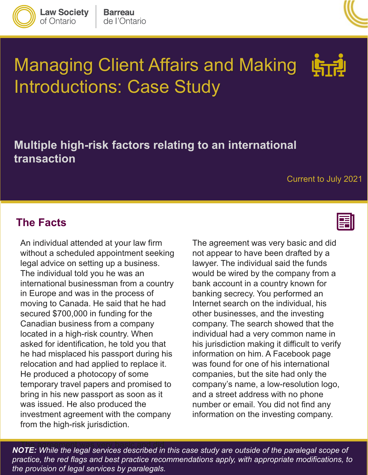

**Law Society** 

of Ontario



# Managing Client Affairs and Making Introductions: Case Study

### **Multiple high-risk factors relating to an international transaction**

#### Current to July 2021

#### **The Facts**

 An individual attended at your law firm bring in his new passport as soon as it without a scheduled appointment seeking legal advice on setting up a business. The individual told you he was an international businessman from a country in Europe and was in the process of moving to Canada. He said that he had secured \$700,000 in funding for the Canadian business from a company located in a high-risk country. When asked for identification, he told you that he had misplaced his passport during his relocation and had applied to replace it. He produced a photocopy of some temporary travel papers and promised to was issued. He also produced the investment agreement with the company from the high-risk jurisdiction.



 would be wired by the company from a company. The search showed that the information on him. A Facebook page was found for one of his international companies, but the site had only the number or email. You did not find any The agreement was very basic and did not appear to have been drafted by a lawyer. The individual said the funds bank account in a country known for banking secrecy. You performed an Internet search on the individual, his other businesses, and the investing individual had a very common name in his jurisdiction making it difficult to verify company's name, a low-resolution logo, and a street address with no phone information on the investing company.

 *practice, the red flags and best practice recommendations apply, with appropriate modifications, to the provision of legal services by paralegals.* The agreement was very basic and did *NOTE: While the legal services described in this case study are outside of the paralegal scope of*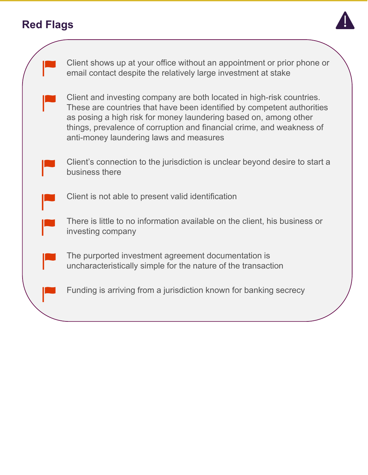# **Red Flags**



|  | Client shows up at your office without an appointment or prior phone or<br>email contact despite the relatively large investment at stake                                                                                                                                                                                               |
|--|-----------------------------------------------------------------------------------------------------------------------------------------------------------------------------------------------------------------------------------------------------------------------------------------------------------------------------------------|
|  | Client and investing company are both located in high-risk countries.<br>These are countries that have been identified by competent authorities<br>as posing a high risk for money laundering based on, among other<br>things, prevalence of corruption and financial crime, and weakness of<br>anti-money laundering laws and measures |
|  | Client's connection to the jurisdiction is unclear beyond desire to start a<br>business there                                                                                                                                                                                                                                           |
|  | Client is not able to present valid identification                                                                                                                                                                                                                                                                                      |
|  | There is little to no information available on the client, his business or<br>investing company                                                                                                                                                                                                                                         |
|  | The purported investment agreement documentation is<br>uncharacteristically simple for the nature of the transaction                                                                                                                                                                                                                    |
|  | Funding is arriving from a jurisdiction known for banking secrecy                                                                                                                                                                                                                                                                       |
|  |                                                                                                                                                                                                                                                                                                                                         |